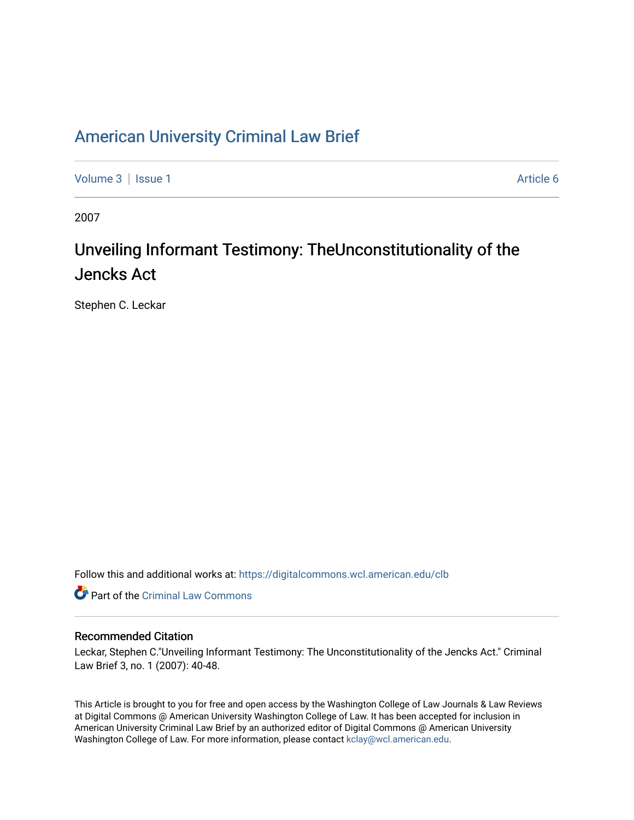### [American University Criminal Law Brief](https://digitalcommons.wcl.american.edu/clb)

[Volume 3](https://digitalcommons.wcl.american.edu/clb/vol3) | [Issue 1](https://digitalcommons.wcl.american.edu/clb/vol3/iss1) Article 6

2007

# Unveiling Informant Testimony: TheUnconstitutionality of the Jencks Act

Stephen C. Leckar

Follow this and additional works at: [https://digitalcommons.wcl.american.edu/clb](https://digitalcommons.wcl.american.edu/clb?utm_source=digitalcommons.wcl.american.edu%2Fclb%2Fvol3%2Fiss1%2F6&utm_medium=PDF&utm_campaign=PDFCoverPages) 

**C** Part of the Criminal Law Commons

#### Recommended Citation

Leckar, Stephen C."Unveiling Informant Testimony: The Unconstitutionality of the Jencks Act." Criminal Law Brief 3, no. 1 (2007): 40-48.

This Article is brought to you for free and open access by the Washington College of Law Journals & Law Reviews at Digital Commons @ American University Washington College of Law. It has been accepted for inclusion in American University Criminal Law Brief by an authorized editor of Digital Commons @ American University Washington College of Law. For more information, please contact [kclay@wcl.american.edu.](mailto:kclay@wcl.american.edu)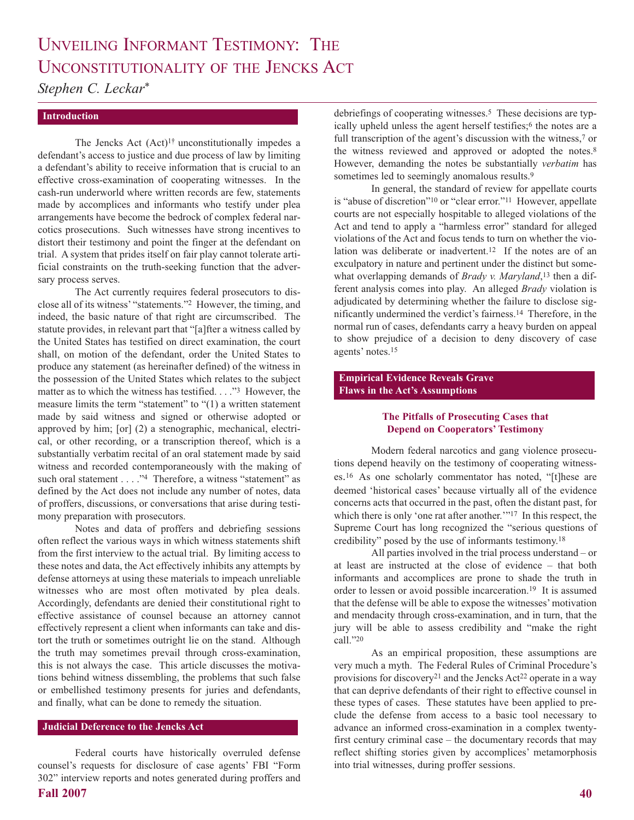## UNVEILING INFORMANT TESTIMONY: THE UNCONSTITUTIONALITY OF THE JENCKS ACT *Stephen C. Leckar\**

#### **Introduction**

The Jencks Act (Act)<sup>1†</sup> unconstitutionally impedes a defendant's access to justice and due process of law by limiting a defendant's ability to receive information that is crucial to an effective cross-examination of cooperating witnesses. In the cash-run underworld where written records are few, statements made by accomplices and informants who testify under plea arrangements have become the bedrock of complex federal narcotics prosecutions. Such witnesses have strong incentives to distort their testimony and point the finger at the defendant on trial. A system that prides itself on fair play cannot tolerate artificial constraints on the truth-seeking function that the adversary process serves.

The Act currently requires federal prosecutors to disclose all of its witness' "statements."2 However, the timing, and indeed, the basic nature of that right are circumscribed. The statute provides, in relevant part that "[a]fter a witness called by the United States has testified on direct examination, the court shall, on motion of the defendant, order the United States to produce any statement (as hereinafter defined) of the witness in the possession of the United States which relates to the subject matter as to which the witness has testified. . . ."3 However, the measure limits the term "statement" to "(1) a written statement made by said witness and signed or otherwise adopted or approved by him; [or] (2) a stenographic, mechanical, electrical, or other recording, or a transcription thereof, which is a substantially verbatim recital of an oral statement made by said witness and recorded contemporaneously with the making of such oral statement . . . . "4 Therefore, a witness "statement" as defined by the Act does not include any number of notes, data of proffers, discussions, or conversations that arise during testimony preparation with prosecutors.

Notes and data of proffers and debriefing sessions often reflect the various ways in which witness statements shift from the first interview to the actual trial. By limiting access to these notes and data, the Act effectively inhibits any attempts by defense attorneys at using these materials to impeach unreliable witnesses who are most often motivated by plea deals. Accordingly, defendants are denied their constitutional right to effective assistance of counsel because an attorney cannot effectively represent a client when informants can take and distort the truth or sometimes outright lie on the stand. Although the truth may sometimes prevail through cross-examination, this is not always the case. This article discusses the motivations behind witness dissembling, the problems that such false or embellished testimony presents for juries and defendants, and finally, what can be done to remedy the situation.

#### **Judicial Deference to the Jencks Act**

Federal courts have historically overruled defense counsel's requests for disclosure of case agents' FBI "Form 302" interview reports and notes generated during proffers and

debriefings of cooperating witnesses.<sup>5</sup> These decisions are typically upheld unless the agent herself testifies;<sup>6</sup> the notes are a full transcription of the agent's discussion with the witness,<sup>7</sup> or the witness reviewed and approved or adopted the notes.8 However, demanding the notes be substantially *verbatim* has sometimes led to seemingly anomalous results.<sup>9</sup>

In general, the standard of review for appellate courts is "abuse of discretion"10 or "clear error."11 However, appellate courts are not especially hospitable to alleged violations of the Act and tend to apply a "harmless error" standard for alleged violations of the Act and focus tends to turn on whether the violation was deliberate or inadvertent.12 If the notes are of an exculpatory in nature and pertinent under the distinct but somewhat overlapping demands of *Brady v. Maryland*<sup>13</sup> then a different analysis comes into play. An alleged *Brady* violation is adjudicated by determining whether the failure to disclose significantly undermined the verdict's fairness.14 Therefore, in the normal run of cases, defendants carry a heavy burden on appeal to show prejudice of a decision to deny discovery of case agents' notes.15

#### **Empirical Evidence Reveals Grave Flaws in the Act's Assumptions**

#### **The Pitfalls of Prosecuting Cases that Depend on Cooperators' Testimony**

Modern federal narcotics and gang violence prosecutions depend heavily on the testimony of cooperating witnesses.16 As one scholarly commentator has noted, "[t]hese are deemed 'historical cases' because virtually all of the evidence concerns acts that occurred in the past, often the distant past, for which there is only 'one rat after another.'"<sup>17</sup> In this respect, the Supreme Court has long recognized the "serious questions of credibility" posed by the use of informants testimony.18

All parties involved in the trial process understand – or at least are instructed at the close of evidence – that both informants and accomplices are prone to shade the truth in order to lessen or avoid possible incarceration.19 It is assumed that the defense will be able to expose the witnesses' motivation and mendacity through cross-examination, and in turn, that the jury will be able to assess credibility and "make the right call."20

As an empirical proposition, these assumptions are very much a myth. The Federal Rules of Criminal Procedure's provisions for discovery<sup>21</sup> and the Jencks Act<sup>22</sup> operate in a way that can deprive defendants of their right to effective counsel in these types of cases. These statutes have been applied to preclude the defense from access to a basic tool necessary to advance an informed cross-examination in a complex twentyfirst century criminal case – the documentary records that may reflect shifting stories given by accomplices' metamorphosis into trial witnesses, during proffer sessions.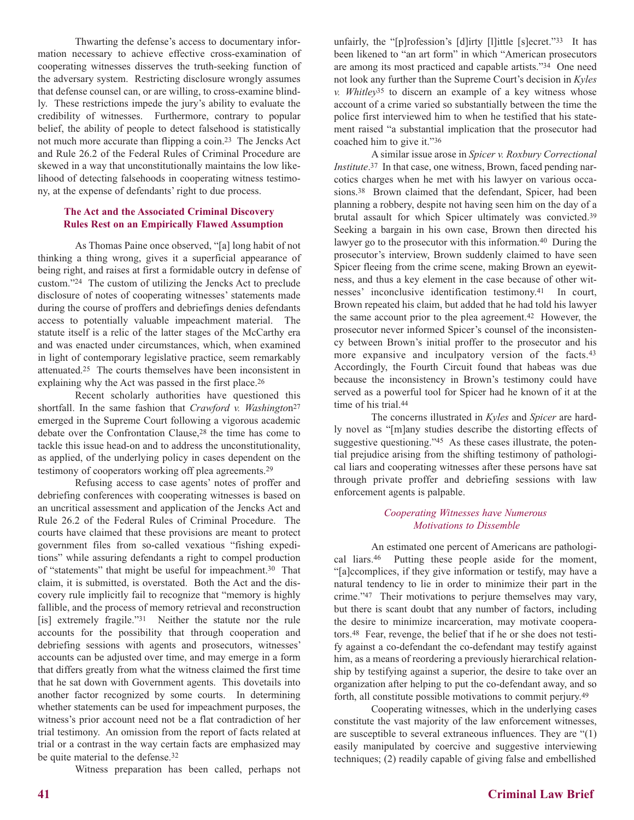Thwarting the defense's access to documentary information necessary to achieve effective cross-examination of cooperating witnesses disserves the truth-seeking function of the adversary system. Restricting disclosure wrongly assumes that defense counsel can, or are willing, to cross-examine blindly. These restrictions impede the jury's ability to evaluate the credibility of witnesses. Furthermore, contrary to popular belief, the ability of people to detect falsehood is statistically not much more accurate than flipping a coin.<sup>23</sup> The Jencks Act and Rule 26.2 of the Federal Rules of Criminal Procedure are skewed in a way that unconstitutionally maintains the low likelihood of detecting falsehoods in cooperating witness testimony, at the expense of defendants' right to due process.

#### **The Act and the Associated Criminal Discovery Rules Rest on an Empirically Flawed Assumption**

As Thomas Paine once observed, "[a] long habit of not thinking a thing wrong, gives it a superficial appearance of being right, and raises at first a formidable outcry in defense of custom."24 The custom of utilizing the Jencks Act to preclude disclosure of notes of cooperating witnesses' statements made during the course of proffers and debriefings denies defendants access to potentially valuable impeachment material. The statute itself is a relic of the latter stages of the McCarthy era and was enacted under circumstances, which, when examined in light of contemporary legislative practice, seem remarkably attenuated.25 The courts themselves have been inconsistent in explaining why the Act was passed in the first place.<sup>26</sup>

Recent scholarly authorities have questioned this shortfall. In the same fashion that *Crawford v. Washington*<sup>27</sup> emerged in the Supreme Court following a vigorous academic debate over the Confrontation Clause,28 the time has come to tackle this issue head-on and to address the unconstitutionality, as applied, of the underlying policy in cases dependent on the testimony of cooperators working off plea agreements.29

Refusing access to case agents' notes of proffer and debriefing conferences with cooperating witnesses is based on an uncritical assessment and application of the Jencks Act and Rule 26.2 of the Federal Rules of Criminal Procedure. The courts have claimed that these provisions are meant to protect government files from so-called vexatious "fishing expeditions" while assuring defendants a right to compel production of "statements" that might be useful for impeachment.<sup>30</sup> That claim, it is submitted, is overstated. Both the Act and the discovery rule implicitly fail to recognize that "memory is highly fallible, and the process of memory retrieval and reconstruction [is] extremely fragile."<sup>31</sup> Neither the statute nor the rule accounts for the possibility that through cooperation and debriefing sessions with agents and prosecutors, witnesses' accounts can be adjusted over time, and may emerge in a form that differs greatly from what the witness claimed the first time that he sat down with Government agents. This dovetails into another factor recognized by some courts. In determining whether statements can be used for impeachment purposes, the witness's prior account need not be a flat contradiction of her trial testimony. An omission from the report of facts related at trial or a contrast in the way certain facts are emphasized may be quite material to the defense.<sup>32</sup>

Witness preparation has been called, perhaps not

unfairly, the "[p]rofession's [d]irty [l]ittle [s]ecret."33 It has been likened to "an art form" in which "American prosecutors are among its most practiced and capable artists."34 One need not look any further than the Supreme Court's decision in *Kyles v. Whitley*<sup>35</sup> to discern an example of a key witness whose account of a crime varied so substantially between the time the police first interviewed him to when he testified that his statement raised "a substantial implication that the prosecutor had coached him to give it."36

A similar issue arose in *Spicer v. Roxbury Correctional Institute*.<sup>37</sup> In that case, one witness, Brown, faced pending narcotics charges when he met with his lawyer on various occasions.38 Brown claimed that the defendant, Spicer, had been planning a robbery, despite not having seen him on the day of a brutal assault for which Spicer ultimately was convicted.39 Seeking a bargain in his own case, Brown then directed his lawyer go to the prosecutor with this information.<sup>40</sup> During the prosecutor's interview, Brown suddenly claimed to have seen Spicer fleeing from the crime scene, making Brown an eyewitness, and thus a key element in the case because of other witnesses' inconclusive identification testimony.41 In court, Brown repeated his claim, but added that he had told his lawyer the same account prior to the plea agreement.42 However, the prosecutor never informed Spicer's counsel of the inconsistency between Brown's initial proffer to the prosecutor and his more expansive and inculpatory version of the facts.<sup>43</sup> Accordingly, the Fourth Circuit found that habeas was due because the inconsistency in Brown's testimony could have served as a powerful tool for Spicer had he known of it at the time of his trial.44

The concerns illustrated in *Kyles* and *Spicer* are hardly novel as "[m]any studies describe the distorting effects of suggestive questioning."45 As these cases illustrate, the potential prejudice arising from the shifting testimony of pathological liars and cooperating witnesses after these persons have sat through private proffer and debriefing sessions with law enforcement agents is palpable.

#### *Cooperating Witnesses have Numerous Motivations to Dissemble*

An estimated one percent of Americans are pathological liars.46 Putting these people aside for the moment, "[a]ccomplices, if they give information or testify, may have a natural tendency to lie in order to minimize their part in the crime."47 Their motivations to perjure themselves may vary, but there is scant doubt that any number of factors, including the desire to minimize incarceration, may motivate cooperators.48 Fear, revenge, the belief that if he or she does not testify against a co-defendant the co-defendant may testify against him, as a means of reordering a previously hierarchical relationship by testifying against a superior, the desire to take over an organization after helping to put the co-defendant away, and so forth, all constitute possible motivations to commit perjury.49

Cooperating witnesses, which in the underlying cases constitute the vast majority of the law enforcement witnesses, are susceptible to several extraneous influences. They are "(1) easily manipulated by coercive and suggestive interviewing techniques; (2) readily capable of giving false and embellished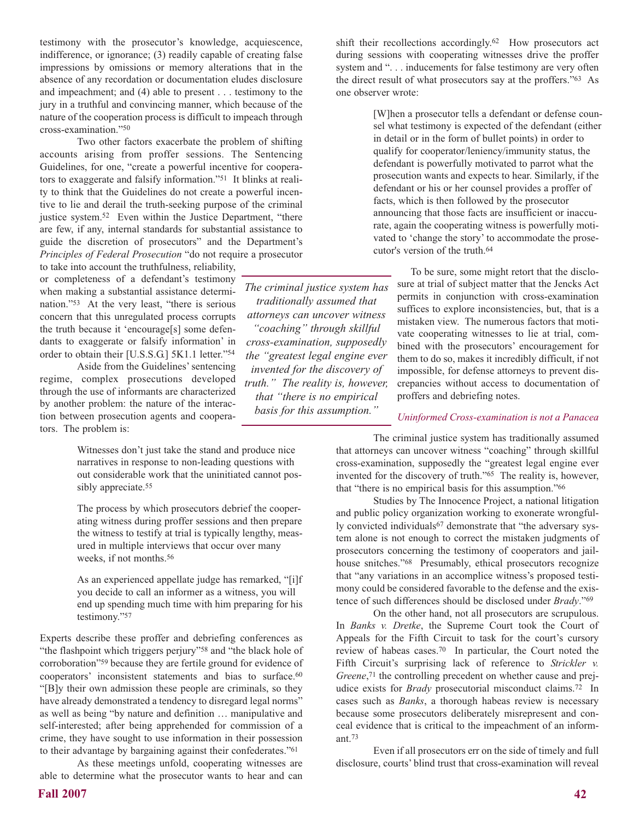testimony with the prosecutor's knowledge, acquiescence, indifference, or ignorance; (3) readily capable of creating false impressions by omissions or memory alterations that in the absence of any recordation or documentation eludes disclosure and impeachment; and (4) able to present . . . testimony to the jury in a truthful and convincing manner, which because of the nature of the cooperation process is difficult to impeach through cross-examination."50

Two other factors exacerbate the problem of shifting accounts arising from proffer sessions. The Sentencing Guidelines, for one, "create a powerful incentive for cooperators to exaggerate and falsify information."51 It blinks at reality to think that the Guidelines do not create a powerful incentive to lie and derail the truth-seeking purpose of the criminal justice system.<sup>52</sup> Even within the Justice Department, "there are few, if any, internal standards for substantial assistance to guide the discretion of prosecutors" and the Department's *Principles of Federal Prosecution* "do not require a prosecutor

to take into account the truthfulness, reliability, or completeness of a defendant's testimony when making a substantial assistance determination."53 At the very least, "there is serious concern that this unregulated process corrupts the truth because it 'encourage[s] some defendants to exaggerate or falsify information' in order to obtain their [U.S.S.G.] 5K1.1 letter."54

Aside from the Guidelines' sentencing regime, complex prosecutions developed through the use of informants are characterized by another problem: the nature of the interaction between prosecution agents and cooperators. The problem is:

> Witnesses don't just take the stand and produce nice narratives in response to non-leading questions with out considerable work that the uninitiated cannot possibly appreciate.<sup>55</sup>

> The process by which prosecutors debrief the cooperating witness during proffer sessions and then prepare the witness to testify at trial is typically lengthy, measured in multiple interviews that occur over many weeks, if not months.56

> As an experienced appellate judge has remarked, "[i]f you decide to call an informer as a witness, you will end up spending much time with him preparing for his testimony."57

Experts describe these proffer and debriefing conferences as "the flashpoint which triggers perjury"58 and "the black hole of corroboration"59 because they are fertile ground for evidence of cooperators' inconsistent statements and bias to surface.60 "[B]y their own admission these people are criminals, so they have already demonstrated a tendency to disregard legal norms" as well as being "by nature and definition … manipulative and self-interested; after being apprehended for commission of a crime, they have sought to use information in their possession to their advantage by bargaining against their confederates."61

As these meetings unfold, cooperating witnesses are able to determine what the prosecutor wants to hear and can

*The criminal justice system has traditionally assumed that attorneys can uncover witness "coaching" through skillful cross-examination, supposedly the "greatest legal engine ever invented for the discovery of truth." The reality is, however, that "there is no empirical basis for this assumption."*

shift their recollections accordingly.62 How prosecutors act during sessions with cooperating witnesses drive the proffer system and "... inducements for false testimony are very often the direct result of what prosecutors say at the proffers."63 As one observer wrote:

> [W]hen a prosecutor tells a defendant or defense counsel what testimony is expected of the defendant (either in detail or in the form of bullet points) in order to qualify for cooperator/leniency/immunity status, the defendant is powerfully motivated to parrot what the prosecution wants and expects to hear. Similarly, if the defendant or his or her counsel provides a proffer of facts, which is then followed by the prosecutor announcing that those facts are insufficient or inaccurate, again the cooperating witness is powerfully motivated to 'change the story' to accommodate the prosecutor's version of the truth.64

> > To be sure, some might retort that the disclosure at trial of subject matter that the Jencks Act permits in conjunction with cross-examination suffices to explore inconsistencies, but, that is a mistaken view. The numerous factors that motivate cooperating witnesses to lie at trial, combined with the prosecutors' encouragement for them to do so, makes it incredibly difficult, if not impossible, for defense attorneys to prevent discrepancies without access to documentation of proffers and debriefing notes.

#### *Uninformed Cross-examination is not a Panacea*

The criminal justice system has traditionally assumed that attorneys can uncover witness "coaching" through skillful cross-examination, supposedly the "greatest legal engine ever invented for the discovery of truth."65 The reality is, however, that "there is no empirical basis for this assumption."66

Studies by The Innocence Project, a national litigation and public policy organization working to exonerate wrongfully convicted individuals<sup>67</sup> demonstrate that "the adversary system alone is not enough to correct the mistaken judgments of prosecutors concerning the testimony of cooperators and jailhouse snitches."68 Presumably, ethical prosecutors recognize that "any variations in an accomplice witness's proposed testimony could be considered favorable to the defense and the existence of such differences should be disclosed under *Brady*."69

On the other hand, not all prosecutors are scrupulous. In *Banks v. Dretke*, the Supreme Court took the Court of Appeals for the Fifth Circuit to task for the court's cursory review of habeas cases.70 In particular, the Court noted the Fifth Circuit's surprising lack of reference to *Strickler v. Greene*,<sup>71</sup> the controlling precedent on whether cause and prejudice exists for *Brady* prosecutorial misconduct claims.72 In cases such as *Banks*, a thorough habeas review is necessary because some prosecutors deliberately misrepresent and conceal evidence that is critical to the impeachment of an informant.73

Even if all prosecutors err on the side of timely and full disclosure, courts' blind trust that cross-examination will reveal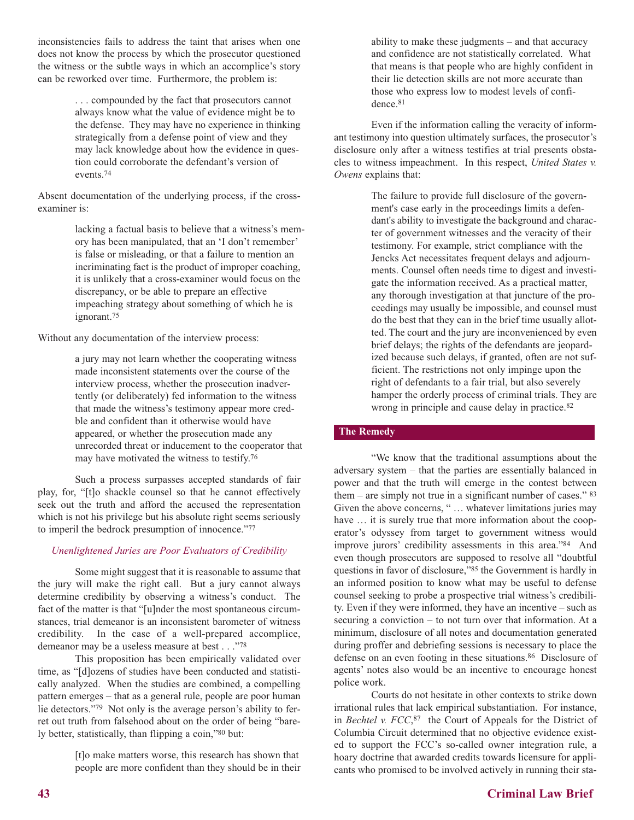inconsistencies fails to address the taint that arises when one does not know the process by which the prosecutor questioned the witness or the subtle ways in which an accomplice's story can be reworked over time. Furthermore, the problem is:

> . . . compounded by the fact that prosecutors cannot always know what the value of evidence might be to the defense. They may have no experience in thinking strategically from a defense point of view and they may lack knowledge about how the evidence in question could corroborate the defendant's version of events.74

Absent documentation of the underlying process, if the crossexaminer is:

> lacking a factual basis to believe that a witness's memory has been manipulated, that an 'I don't remember' is false or misleading, or that a failure to mention an incriminating fact is the product of improper coaching, it is unlikely that a cross-examiner would focus on the discrepancy, or be able to prepare an effective impeaching strategy about something of which he is ignorant.75

Without any documentation of the interview process:

a jury may not learn whether the cooperating witness made inconsistent statements over the course of the interview process, whether the prosecution inadvertently (or deliberately) fed information to the witness that made the witness's testimony appear more credble and confident than it otherwise would have appeared, or whether the prosecution made any unrecorded threat or inducement to the cooperator that may have motivated the witness to testify.76

Such a process surpasses accepted standards of fair play, for, "[t]o shackle counsel so that he cannot effectively seek out the truth and afford the accused the representation which is not his privilege but his absolute right seems seriously to imperil the bedrock presumption of innocence."77

#### *Unenlightened Juries are Poor Evaluators of Credibility*

Some might suggest that it is reasonable to assume that the jury will make the right call. But a jury cannot always determine credibility by observing a witness's conduct. The fact of the matter is that "[u]nder the most spontaneous circumstances, trial demeanor is an inconsistent barometer of witness credibility. In the case of a well-prepared accomplice, demeanor may be a useless measure at best . . . "78

This proposition has been empirically validated over time, as "[d]ozens of studies have been conducted and statistically analyzed. When the studies are combined, a compelling pattern emerges – that as a general rule, people are poor human lie detectors."79 Not only is the average person's ability to ferret out truth from falsehood about on the order of being "barely better, statistically, than flipping a coin,"80 but:

> [t]o make matters worse, this research has shown that people are more confident than they should be in their

ability to make these judgments – and that accuracy and confidence are not statistically correlated. What that means is that people who are highly confident in their lie detection skills are not more accurate than those who express low to modest levels of confidence.81

Even if the information calling the veracity of informant testimony into question ultimately surfaces, the prosecutor's disclosure only after a witness testifies at trial presents obstacles to witness impeachment. In this respect, *United States v. Owens* explains that:

> The failure to provide full disclosure of the government's case early in the proceedings limits a defendant's ability to investigate the background and character of government witnesses and the veracity of their testimony. For example, strict compliance with the Jencks Act necessitates frequent delays and adjournments. Counsel often needs time to digest and investigate the information received. As a practical matter, any thorough investigation at that juncture of the proceedings may usually be impossible, and counsel must do the best that they can in the brief time usually allotted. The court and the jury are inconvenienced by even brief delays; the rights of the defendants are jeopardized because such delays, if granted, often are not sufficient. The restrictions not only impinge upon the right of defendants to a fair trial, but also severely hamper the orderly process of criminal trials. They are wrong in principle and cause delay in practice.<sup>82</sup>

#### **The Remedy**

"We know that the traditional assumptions about the adversary system – that the parties are essentially balanced in power and that the truth will emerge in the contest between them – are simply not true in a significant number of cases."  $83$ Given the above concerns, " … whatever limitations juries may have  $\ldots$  it is surely true that more information about the cooperator's odyssey from target to government witness would improve jurors' credibility assessments in this area."84 And even though prosecutors are supposed to resolve all "doubtful questions in favor of disclosure,"85 the Government is hardly in an informed position to know what may be useful to defense counsel seeking to probe a prospective trial witness's credibility. Even if they were informed, they have an incentive – such as securing a conviction – to not turn over that information. At a minimum, disclosure of all notes and documentation generated during proffer and debriefing sessions is necessary to place the defense on an even footing in these situations.<sup>86</sup> Disclosure of agents' notes also would be an incentive to encourage honest police work.

Courts do not hesitate in other contexts to strike down irrational rules that lack empirical substantiation. For instance, in *Bechtel v. FCC*,87 the Court of Appeals for the District of Columbia Circuit determined that no objective evidence existed to support the FCC's so-called owner integration rule, a hoary doctrine that awarded credits towards licensure for applicants who promised to be involved actively in running their sta-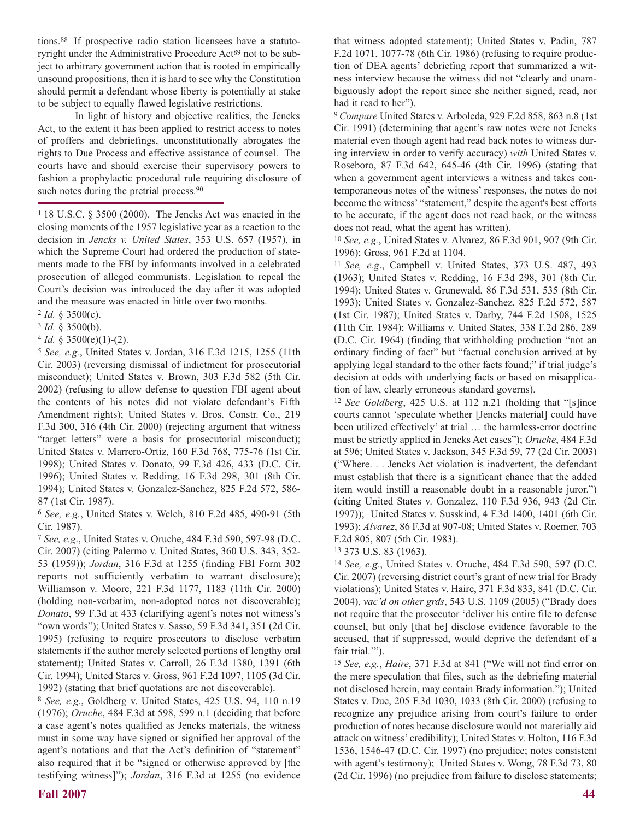tions.88 If prospective radio station licensees have a statutoryright under the Administrative Procedure Act<sup>89</sup> not to be subject to arbitrary government action that is rooted in empirically unsound propositions, then it is hard to see why the Constitution should permit a defendant whose liberty is potentially at stake to be subject to equally flawed legislative restrictions.

In light of history and objective realities, the Jencks Act, to the extent it has been applied to restrict access to notes of proffers and debriefings, unconstitutionally abrogates the rights to Due Process and effective assistance of counsel. The courts have and should exercise their supervisory powers to fashion a prophylactic procedural rule requiring disclosure of such notes during the pretrial process.<sup>90</sup>

<sup>5</sup> *See, e.g.*, United States v. Jordan, 316 F.3d 1215, 1255 (11th Cir. 2003) (reversing dismissal of indictment for prosecutorial misconduct); United States v. Brown, 303 F.3d 582 (5th Cir. 2002) (refusing to allow defense to question FBI agent about the contents of his notes did not violate defendant's Fifth Amendment rights); United States v. Bros. Constr. Co., 219 F.3d 300, 316 (4th Cir. 2000) (rejecting argument that witness "target letters" were a basis for prosecutorial misconduct); United States v. Marrero-Ortiz, 160 F.3d 768, 775-76 (1st Cir. 1998); United States v. Donato, 99 F.3d 426, 433 (D.C. Cir. 1996); United States v. Redding, 16 F.3d 298, 301 (8th Cir. 1994); United States v. Gonzalez-Sanchez, 825 F.2d 572, 586- 87 (1st Cir. 1987).

<sup>6</sup> *See, e.g.*, United States v. Welch, 810 F.2d 485, 490-91 (5th Cir. 1987).

<sup>7</sup> *See, e.g*., United States v. Oruche, 484 F.3d 590, 597-98 (D.C. Cir. 2007) (citing Palermo v. United States, 360 U.S. 343, 352- 53 (1959)); *Jordan*, 316 F.3d at 1255 (finding FBI Form 302 reports not sufficiently verbatim to warrant disclosure); Williamson v. Moore, 221 F.3d 1177, 1183 (11th Cir. 2000) (holding non-verbatim, non-adopted notes not discoverable); *Donato*, 99 F.3d at 433 (clarifying agent's notes not witness's "own words"); United States v. Sasso, 59 F.3d 341, 351 (2d Cir. 1995) (refusing to require prosecutors to disclose verbatim statements if the author merely selected portions of lengthy oral statement); United States v. Carroll, 26 F.3d 1380, 1391 (6th Cir. 1994); United Stares v. Gross, 961 F.2d 1097, 1105 (3d Cir. 1992) (stating that brief quotations are not discoverable).

<sup>8</sup> *See, e.g.*, Goldberg v. United States, 425 U.S. 94, 110 n.19 (1976); *Oruche*, 484 F.3d at 598, 599 n.1 (deciding that before a case agent's notes qualified as Jencks materials, the witness must in some way have signed or signified her approval of the agent's notations and that the Act's definition of "statement" also required that it be "signed or otherwise approved by [the testifying witness]"); *Jordan*, 316 F.3d at 1255 (no evidence that witness adopted statement); United States v. Padin, 787 F.2d 1071, 1077-78 (6th Cir. 1986) (refusing to require production of DEA agents' debriefing report that summarized a witness interview because the witness did not "clearly and unambiguously adopt the report since she neither signed, read, nor had it read to her").

<sup>9</sup>*Compare* United States v. Arboleda, 929 F.2d 858, 863 n.8 (1st Cir. 1991) (determining that agent's raw notes were not Jencks material even though agent had read back notes to witness during interview in order to verify accuracy) *with* United States v. Roseboro, 87 F.3d 642, 645-46 (4th Cir. 1996) (stating that when a government agent interviews a witness and takes contemporaneous notes of the witness' responses, the notes do not become the witness' "statement," despite the agent's best efforts to be accurate, if the agent does not read back, or the witness does not read, what the agent has written).

<sup>10</sup> *See, e.g.*, United States v. Alvarez, 86 F.3d 901, 907 (9th Cir. 1996); Gross, 961 F.2d at 1104.

<sup>11</sup>*See, e.g*., Campbell v. United States, 373 U.S. 487, 493 (1963); United States v. Redding, 16 F.3d 298, 301 (8th Cir. 1994); United States v. Grunewald, 86 F.3d 531, 535 (8th Cir. 1993); United States v. Gonzalez-Sanchez, 825 F.2d 572, 587 (1st Cir. 1987); United States v. Darby, 744 F.2d 1508, 1525 (11th Cir. 1984); Williams v. United States, 338 F.2d 286, 289 (D.C. Cir. 1964) (finding that withholding production "not an ordinary finding of fact" but "factual conclusion arrived at by applying legal standard to the other facts found;" if trial judge's decision at odds with underlying facts or based on misapplication of law, clearly erroneous standard governs).

<sup>12</sup> *See Goldberg*, 425 U.S. at 112 n.21 (holding that "[s]ince courts cannot 'speculate whether [Jencks material] could have been utilized effectively' at trial … the harmless-error doctrine must be strictly applied in Jencks Act cases"); *Oruche*, 484 F.3d at 596; United States v. Jackson, 345 F.3d 59, 77 (2d Cir. 2003) ("Where. . . Jencks Act violation is inadvertent, the defendant must establish that there is a significant chance that the added item would instill a reasonable doubt in a reasonable juror.") (citing United States v. Gonzalez, 110 F.3d 936, 943 (2d Cir. 1997)); United States v. Susskind, 4 F.3d 1400, 1401 (6th Cir. 1993); *Alvarez*, 86 F.3d at 907-08; United States v. Roemer, 703 F.2d 805, 807 (5th Cir. 1983).

<sup>13</sup> 373 U.S. 83 (1963).

<sup>14</sup> *See, e.g.*, United States v. Oruche, 484 F.3d 590, 597 (D.C. Cir. 2007) (reversing district court's grant of new trial for Brady violations); United States v. Haire, 371 F.3d 833, 841 (D.C. Cir. 2004), *vac'd on other grds*, 543 U.S. 1109 (2005) ("Brady does not require that the prosecutor 'deliver his entire file to defense counsel, but only [that he] disclose evidence favorable to the accused, that if suppressed, would deprive the defendant of a fair trial."").

<sup>15</sup> *See, e.g.*, *Haire*, 371 F.3d at 841 ("We will not find error on the mere speculation that files, such as the debriefing material not disclosed herein, may contain Brady information."); United States v. Due, 205 F.3d 1030, 1033 (8th Cir. 2000) (refusing to recognize any prejudice arising from court's failure to order production of notes because disclosure would not materially aid attack on witness' credibility); United States v. Holton, 116 F.3d 1536, 1546-47 (D.C. Cir. 1997) (no prejudice; notes consistent with agent's testimony); United States v. Wong, 78 F.3d 73, 80 (2d Cir. 1996) (no prejudice from failure to disclose statements;

<sup>1 18</sup> U.S.C. § 3500 (2000). The Jencks Act was enacted in the closing moments of the 1957 legislative year as a reaction to the decision in *Jencks v. United States*, 353 U.S. 657 (1957), in which the Supreme Court had ordered the production of statements made to the FBI by informants involved in a celebrated prosecution of alleged communists. Legislation to repeal the Court's decision was introduced the day after it was adopted and the measure was enacted in little over two months.

<sup>2</sup> *Id.* § 3500(c).

<sup>3</sup> *Id.* § 3500(b).

 $4$  *Id.* § 3500(e)(1)-(2).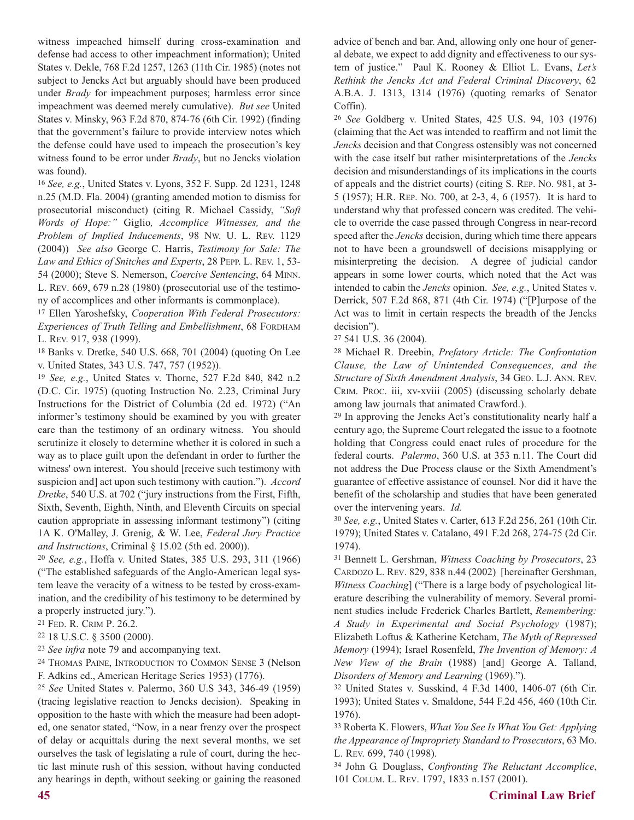witness impeached himself during cross-examination and defense had access to other impeachment information); United States v. Dekle, 768 F.2d 1257, 1263 (11th Cir. 1985) (notes not subject to Jencks Act but arguably should have been produced under *Brady* for impeachment purposes; harmless error since impeachment was deemed merely cumulative). *But see* United States v. Minsky, 963 F.2d 870, 874-76 (6th Cir. 1992) (finding that the government's failure to provide interview notes which the defense could have used to impeach the prosecution's key witness found to be error under *Brady*, but no Jencks violation was found).

<sup>16</sup> *See, e.g.*, United States v. Lyons, 352 F. Supp. 2d 1231, 1248 n.25 (M.D. Fla. 2004) (granting amended motion to dismiss for prosecutorial misconduct) (citing R. Michael Cassidy, *"Soft Words of Hope:"* Giglio*, Accomplice Witnesses, and the Problem of Implied Inducements*, 98 NW. U. L. REV. 1129 (2004)) *See also* George C. Harris, *Testimony for Sale: The Law and Ethics of Snitches and Experts*, 28 PEPP. L. REV. 1, 53- 54 (2000); Steve S. Nemerson, *Coercive Sentencing*, 64 MINN. L. REV. 669, 679 n.28 (1980) (prosecutorial use of the testimony of accomplices and other informants is commonplace).

<sup>17</sup> Ellen Yaroshefsky, *Cooperation With Federal Prosecutors: Experiences of Truth Telling and Embellishment*, 68 FORDHAM L. REV. 917, 938 (1999).

<sup>18</sup> Banks v. Dretke, 540 U.S. 668, 701 (2004) (quoting On Lee v. United States, 343 U.S. 747, 757 (1952)).

<sup>19</sup> *See, e.g.*, United States v. Thorne, 527 F.2d 840, 842 n.2 (D.C. Cir. 1975) (quoting Instruction No. 2.23, Criminal Jury Instructions for the District of Columbia (2d ed. 1972) ("An informer's testimony should be examined by you with greater care than the testimony of an ordinary witness. You should scrutinize it closely to determine whether it is colored in such a way as to place guilt upon the defendant in order to further the witness' own interest. You should [receive such testimony with suspicion and] act upon such testimony with caution."). *Accord Dretke*, 540 U.S. at 702 ("jury instructions from the First, Fifth, Sixth, Seventh, Eighth, Ninth, and Eleventh Circuits on special caution appropriate in assessing informant testimony") (citing 1A K. O'Malley, J. Grenig, & W. Lee, *Federal Jury Practice and Instructions*, Criminal § 15.02 (5th ed. 2000)).

<sup>20</sup> *See, e.g.*, Hoffa v. United States, 385 U.S. 293, 311 (1966) ("The established safeguards of the Anglo-American legal system leave the veracity of a witness to be tested by cross-examination, and the credibility of his testimony to be determined by a properly instructed jury.").

<sup>21</sup> FED. R. CRIM P. 26.2.

<sup>22</sup> 18 U.S.C. § 3500 (2000).

<sup>23</sup> *See infra* note 79 and accompanying text.

<sup>24</sup> THOMAS PAINE, INTRODUCTION TO COMMON SENSE 3 (Nelson F. Adkins ed., American Heritage Series 1953) (1776).

<sup>25</sup> *See* United States v. Palermo, 360 U.S 343, 346-49 (1959) (tracing legislative reaction to Jencks decision). Speaking in opposition to the haste with which the measure had been adopted, one senator stated, "Now, in a near frenzy over the prospect of delay or acquittals during the next several months, we set ourselves the task of legislating a rule of court, during the hectic last minute rush of this session, without having conducted any hearings in depth, without seeking or gaining the reasoned

advice of bench and bar. And, allowing only one hour of general debate, we expect to add dignity and effectiveness to our system of justice." Paul K. Rooney & Elliot L. Evans, *Let's Rethink the Jencks Act and Federal Criminal Discovery*, 62 A.B.A. J. 1313, 1314 (1976) (quoting remarks of Senator Coffin).

<sup>26</sup> *See* Goldberg v. United States, 425 U.S. 94, 103 (1976) (claiming that the Act was intended to reaffirm and not limit the *Jencks* decision and that Congress ostensibly was not concerned with the case itself but rather misinterpretations of the *Jencks* decision and misunderstandings of its implications in the courts of appeals and the district courts) (citing S. REP. NO. 981, at 3- 5 (1957); H.R. REP. NO. 700, at 2-3, 4, 6 (1957). It is hard to understand why that professed concern was credited. The vehicle to override the case passed through Congress in near-record speed after the *Jencks* decision, during which time there appears not to have been a groundswell of decisions misapplying or misinterpreting the decision. A degree of judicial candor appears in some lower courts, which noted that the Act was intended to cabin the *Jencks* opinion. *See, e.g.*, United States v. Derrick, 507 F.2d 868, 871 (4th Cir. 1974) ("[P]urpose of the Act was to limit in certain respects the breadth of the Jencks decision").

<sup>27</sup> 541 U.S. 36 (2004).

<sup>28</sup> Michael R. Dreebin, *Prefatory Article: The Confrontation Clause, the Law of Unintended Consequences, and the Structure of Sixth Amendment Analysis*, 34 GEO. L.J. ANN. REV. CRIM. PROC. iii, xv-xviii (2005) (discussing scholarly debate among law journals that animated Crawford.).

<sup>29</sup> In approving the Jencks Act's constitutionality nearly half a century ago, the Supreme Court relegated the issue to a footnote holding that Congress could enact rules of procedure for the federal courts. *Palermo*, 360 U.S. at 353 n.11. The Court did not address the Due Process clause or the Sixth Amendment's guarantee of effective assistance of counsel. Nor did it have the benefit of the scholarship and studies that have been generated over the intervening years. *Id.*

<sup>30</sup> *See, e.g.*, United States v. Carter, 613 F.2d 256, 261 (10th Cir. 1979); United States v. Catalano, 491 F.2d 268, 274-75 (2d Cir. 1974).

<sup>31</sup> Bennett L. Gershman, *Witness Coaching by Prosecutors*, 23 CARDOZO L. REV. 829, 838 n.44 (2002) [hereinafter Gershman, *Witness Coaching*] ("There is a large body of psychological literature describing the vulnerability of memory. Several prominent studies include Frederick Charles Bartlett, *Remembering: A Study in Experimental and Social Psychology* (1987); Elizabeth Loftus & Katherine Ketcham, *The Myth of Repressed Memory* (1994); Israel Rosenfeld, *The Invention of Memory: A New View of the Brain* (1988) [and] George A. Talland, *Disorders of Memory and Learning* (1969).").

<sup>32</sup> United States v. Susskind, 4 F.3d 1400, 1406-07 (6th Cir. 1993); United States v. Smaldone, 544 F.2d 456, 460 (10th Cir. 1976).

<sup>33</sup> Roberta K. Flowers, *What You See Is What You Get: Applying the Appearance of Impropriety Standard to Prosecutors*, 63 MO. L. REV. 699, 740 (1998).

<sup>34</sup> John G. Douglass, *Confronting The Reluctant Accomplice*, 101 COLUM. L. REV. 1797, 1833 n.157 (2001).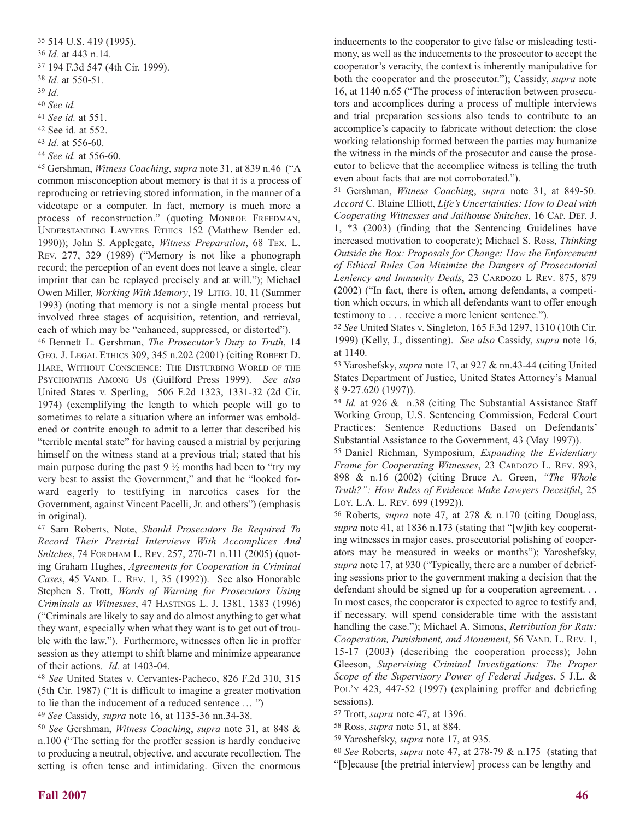```
35 514 U.S. 419 (1995).
```

```
36 Id. at 443 n.14.
```

```
37 194 F.3d 547 (4th Cir. 1999).
```

```
38 Id. at 550-51.
```
- <sup>39</sup> *Id.*
- <sup>40</sup> *See id.*
- <sup>41</sup> *See id.* at 551.
- <sup>42</sup> See id. at 552.
- <sup>43</sup> *Id.* at 556-60.
- <sup>44</sup> *See id.* at 556-60.

<sup>45</sup> Gershman, *Witness Coaching*, *supra* note 31, at 839 n.46 ("A common misconception about memory is that it is a process of reproducing or retrieving stored information, in the manner of a videotape or a computer. In fact, memory is much more a process of reconstruction." (quoting MONROE FREEDMAN, UNDERSTANDING LAWYERS ETHICS 152 (Matthew Bender ed. 1990)); John S. Applegate, *Witness Preparation*, 68 TEX. L. REV. 277, 329 (1989) ("Memory is not like a phonograph record; the perception of an event does not leave a single, clear imprint that can be replayed precisely and at will."); Michael Owen Miller, *Working With Memory*, 19 LITIG. 10, 11 (Summer 1993) (noting that memory is not a single mental process but involved three stages of acquisition, retention, and retrieval, each of which may be "enhanced, suppressed, or distorted").

<sup>46</sup> Bennett L. Gershman, *The Prosecutor's Duty to Truth*, 14 GEO. J. LEGAL ETHICS 309, 345 n.202 (2001) (citing ROBERT D. HARE, WITHOUT CONSCIENCE: THE DISTURBING WORLD OF THE PSYCHOPATHS AMONG US (Guilford Press 1999). *See also* United States v. Sperling, 506 F.2d 1323, 1331-32 (2d Cir. 1974) (exemplifying the length to which people will go to sometimes to relate a situation where an informer was emboldened or contrite enough to admit to a letter that described his "terrible mental state" for having caused a mistrial by perjuring himself on the witness stand at a previous trial; stated that his main purpose during the past  $9\frac{1}{2}$  months had been to "try my very best to assist the Government," and that he "looked forward eagerly to testifying in narcotics cases for the Government, against Vincent Pacelli, Jr. and others") (emphasis in original).

<sup>47</sup> Sam Roberts, Note, *Should Prosecutors Be Required To Record Their Pretrial Interviews With Accomplices And Snitches*, 74 FORDHAM L. REV. 257, 270-71 n.111 (2005) (quoting Graham Hughes, *Agreements for Cooperation in Criminal Cases*, 45 VAND. L. REV. 1, 35 (1992)). See also Honorable Stephen S. Trott, *Words of Warning for Prosecutors Using Criminals as Witnesses*, 47 HASTINGS L. J. 1381, 1383 (1996) ("Criminals are likely to say and do almost anything to get what they want, especially when what they want is to get out of trouble with the law."). Furthermore, witnesses often lie in proffer session as they attempt to shift blame and minimize appearance of their actions. *Id.* at 1403-04.

<sup>48</sup> *See* United States v. Cervantes-Pacheco, 826 F.2d 310, 315 (5th Cir. 1987) ("It is difficult to imagine a greater motivation to lie than the inducement of a reduced sentence … ")

<sup>49</sup> *See* Cassidy, *supra* note 16, at 1135-36 nn.34-38.

<sup>50</sup> *See* Gershman, *Witness Coaching*, *supra* note 31, at 848 & n.100 ("The setting for the proffer session is hardly conducive to producing a neutral, objective, and accurate recollection. The setting is often tense and intimidating. Given the enormous inducements to the cooperator to give false or misleading testimony, as well as the inducements to the prosecutor to accept the cooperator's veracity, the context is inherently manipulative for both the cooperator and the prosecutor."); Cassidy, *supra* note 16, at 1140 n.65 ("The process of interaction between prosecutors and accomplices during a process of multiple interviews and trial preparation sessions also tends to contribute to an accomplice's capacity to fabricate without detection; the close working relationship formed between the parties may humanize the witness in the minds of the prosecutor and cause the prosecutor to believe that the accomplice witness is telling the truth even about facts that are not corroborated.").

<sup>51</sup> Gershman, *Witness Coaching*, *supra* note 31, at 849-50. *Accord* C. Blaine Elliott, *Life's Uncertainties: How to Deal with Cooperating Witnesses and Jailhouse Snitches*, 16 CAP. DEF. J. 1, \*3 (2003) (finding that the Sentencing Guidelines have increased motivation to cooperate); Michael S. Ross, *Thinking Outside the Box: Proposals for Change: How the Enforcement of Ethical Rules Can Minimize the Dangers of Prosecutorial Leniency and Immunity Deals*, 23 CARDOZO L REV. 875, 879 (2002) ("In fact, there is often, among defendants, a competition which occurs, in which all defendants want to offer enough testimony to . . . receive a more lenient sentence.").

<sup>52</sup> *See* United States v. Singleton, 165 F.3d 1297, 1310 (10th Cir. 1999) (Kelly, J., dissenting). *See also* Cassidy, *supra* note 16, at 1140.

<sup>53</sup> Yaroshefsky, *supra* note 17, at 927 & nn.43-44 (citing United States Department of Justice, United States Attorney's Manual § 9-27.620 (1997)).

<sup>54</sup> *Id.* at 926 & n.38 (citing The Substantial Assistance Staff Working Group, U.S. Sentencing Commission, Federal Court Practices: Sentence Reductions Based on Defendants' Substantial Assistance to the Government, 43 (May 1997)).

55 Daniel Richman, Symposium, *Expanding the Evidentiary Frame for Cooperating Witnesses*, 23 CARDOZO L. REV. 893, 898 & n.16 (2002) (citing Bruce A. Green, *"The Whole Truth?": How Rules of Evidence Make Lawyers Deceitful*, 25 LOY. L.A. L. REV. 699 (1992)).

<sup>56</sup> Roberts, *supra* note 47, at 278 & n.170 (citing Douglass, *supra* note 41, at 1836 n.173 (stating that "[w]ith key cooperating witnesses in major cases, prosecutorial polishing of cooperators may be measured in weeks or months"); Yaroshefsky, *supra* note 17, at 930 ("Typically, there are a number of debriefing sessions prior to the government making a decision that the defendant should be signed up for a cooperation agreement. . . In most cases, the cooperator is expected to agree to testify and, if necessary, will spend considerable time with the assistant handling the case."); Michael A. Simons, *Retribution for Rats: Cooperation, Punishment, and Atonement*, 56 VAND. L. REV. 1, 15-17 (2003) (describing the cooperation process); John Gleeson, *Supervising Criminal Investigations: The Proper Scope of the Supervisory Power of Federal Judges*, 5 J.L. & POL'Y 423, 447-52 (1997) (explaining proffer and debriefing sessions).

<sup>57</sup> Trott, *supra* note 47, at 1396.

<sup>58</sup> Ross, *supra* note 51, at 884.

<sup>59</sup> Yaroshefsky, *supra* note 17, at 935.

<sup>60</sup> *See* Roberts, *supra* note 47, at 278-79 & n.175 (stating that "[b]ecause [the pretrial interview] process can be lengthy and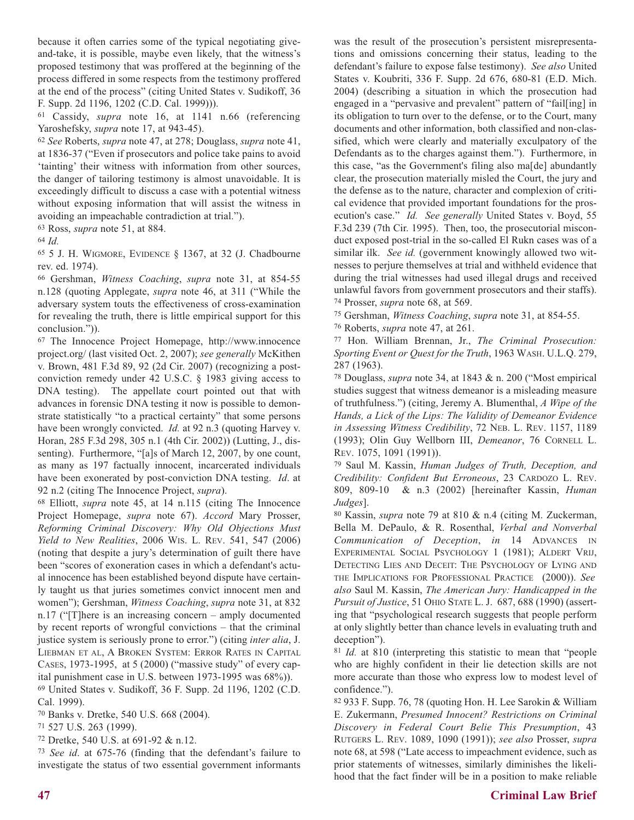because it often carries some of the typical negotiating giveand-take, it is possible, maybe even likely, that the witness's proposed testimony that was proffered at the beginning of the process differed in some respects from the testimony proffered at the end of the process" (citing United States v. Sudikoff, 36 F. Supp. 2d 1196, 1202 (C.D. Cal. 1999))).

<sup>61</sup> Cassidy, *supra* note 16, at 1141 n.66 (referencing Yaroshefsky, *supra* note 17, at 943-45).

<sup>62</sup> *See* Roberts, *supra* note 47, at 278; Douglass, *supra* note 41, at 1836-37 ("Even if prosecutors and police take pains to avoid 'tainting' their witness with information from other sources, the danger of tailoring testimony is almost unavoidable. It is exceedingly difficult to discuss a case with a potential witness without exposing information that will assist the witness in avoiding an impeachable contradiction at trial.").

<sup>63</sup> Ross, *supra* note 51, at 884.

<sup>64</sup> *Id.*

<sup>65</sup> 5 J. H. WIGMORE, EVIDENCE § 1367, at 32 (J. Chadbourne rev. ed. 1974).

<sup>66</sup> Gershman, *Witness Coaching*, *supra* note 31, at 854-55 n.128 (quoting Applegate, *supra* note 46, at 311 ("While the adversary system touts the effectiveness of cross-examination for revealing the truth, there is little empirical support for this conclusion.")).

<sup>67</sup> The Innocence Project Homepage, http://www.innocence project.org/ (last visited Oct. 2, 2007); *see generally* McKithen v. Brown, 481 F.3d 89, 92 (2d Cir. 2007) (recognizing a postconviction remedy under 42 U.S.C. § 1983 giving access to DNA testing). The appellate court pointed out that with advances in forensic DNA testing it now is possible to demonstrate statistically "to a practical certainty" that some persons have been wrongly convicted. *Id.* at 92 n.3 (quoting Harvey v. Horan, 285 F.3d 298, 305 n.1 (4th Cir. 2002)) (Lutting, J., dissenting). Furthermore, "[a]s of March 12, 2007, by one count, as many as 197 factually innocent, incarcerated individuals have been exonerated by post-conviction DNA testing. *Id*. at 92 n.2 (citing The Innocence Project, *supra*).

<sup>68</sup> Elliott, *supra* note 45, at 14 n.115 (citing The Innocence Project Homepage, *supra* note 67). *Accord* Mary Prosser, *Reforming Criminal Discovery: Why Old Objections Must Yield to New Realities*, 2006 WIS. L. REV. 541, 547 (2006) (noting that despite a jury's determination of guilt there have been "scores of exoneration cases in which a defendant's actual innocence has been established beyond dispute have certainly taught us that juries sometimes convict innocent men and women"); Gershman, *Witness Coaching*, *supra* note 31, at 832 n.17 ("[T]here is an increasing concern – amply documented by recent reports of wrongful convictions – that the criminal justice system is seriously prone to error.") (citing *inter alia*, J. LIEBMAN ET AL, A BROKEN SYSTEM: ERROR RATES IN CAPITAL CASES, 1973-1995, at 5 (2000) ("massive study" of every capital punishment case in U.S. between 1973-1995 was 68%)).

<sup>69</sup> United States v. Sudikoff, 36 F. Supp. 2d 1196, 1202 (C.D. Cal. 1999).

<sup>70</sup> Banks v. Dretke, 540 U.S. 668 (2004).

<sup>71</sup> 527 U.S. 263 (1999).

<sup>72</sup> Dretke, 540 U.S. at 691-92 & n.12.

<sup>73</sup> *See id*. at 675-76 (finding that the defendant's failure to investigate the status of two essential government informants was the result of the prosecution's persistent misrepresentations and omissions concerning their status, leading to the defendant's failure to expose false testimony). *See also* United States v. Koubriti, 336 F. Supp. 2d 676, 680-81 (E.D. Mich. 2004) (describing a situation in which the prosecution had engaged in a "pervasive and prevalent" pattern of "fail[ing] in its obligation to turn over to the defense, or to the Court, many documents and other information, both classified and non-classified, which were clearly and materially exculpatory of the Defendants as to the charges against them."). Furthermore, in this case, "as the Government's filing also ma[de] abundantly clear, the prosecution materially misled the Court, the jury and the defense as to the nature, character and complexion of critical evidence that provided important foundations for the prosecution's case." *Id. See generally* United States v. Boyd, 55 F.3d 239 (7th Cir. 1995). Then, too, the prosecutorial misconduct exposed post-trial in the so-called El Rukn cases was of a similar ilk. *See id.* (government knowingly allowed two witnesses to perjure themselves at trial and withheld evidence that during the trial witnesses had used illegal drugs and received unlawful favors from government prosecutors and their staffs). <sup>74</sup> Prosser, *supra* note 68, at 569.

<sup>75</sup> Gershman, *Witness Coaching*, *supra* note 31, at 854-55.

<sup>76</sup> Roberts, *supra* note 47, at 261.

<sup>77</sup> Hon. William Brennan, Jr., *The Criminal Prosecution: Sporting Event or Quest for the Truth*, 1963 WASH. U.L.Q. 279, 287 (1963).

<sup>78</sup> Douglass, *supra* note 34, at 1843 & n. 200 ("Most empirical studies suggest that witness demeanor is a misleading measure of truthfulness.") (citing, Jeremy A. Blumenthal, *A Wipe of the Hands, a Lick of the Lips: The Validity of Demeanor Evidence in Assessing Witness Credibility*, 72 NEB. L. REV. 1157, 1189 (1993); Olin Guy Wellborn III, *Demeanor*, 76 CORNELL L. REV. 1075, 1091 (1991)).

<sup>79</sup> Saul M. Kassin, *Human Judges of Truth, Deception, and Credibility: Confident But Erroneous*, 23 CARDOZO L. REV. 809, 809-10 & n.3 (2002) [hereinafter Kassin, *Human Judges*].

<sup>80</sup> Kassin, *supra* note 79 at 810 & n.4 (citing M. Zuckerman, Bella M. DePaulo, & R. Rosenthal, *Verbal and Nonverbal Communication of Deception*, *in* 14 ADVANCES IN EXPERIMENTAL SOCIAL PSYCHOLOGY 1 (1981); ALDERT VRIJ, DETECTING LIES AND DECEIT: THE PSYCHOLOGY OF LYING AND THE IMPLICATIONS FOR PROFESSIONAL PRACTICE (2000)). *See also* Saul M. Kassin, *The American Jury: Handicapped in the Pursuit of Justice*, 51 OHIO STATE L. J. 687, 688 (1990) (asserting that "psychological research suggests that people perform at only slightly better than chance levels in evaluating truth and deception").

<sup>81</sup> *Id.* at 810 (interpreting this statistic to mean that "people who are highly confident in their lie detection skills are not more accurate than those who express low to modest level of confidence.").

<sup>82</sup> 933 F. Supp. 76, 78 (quoting Hon. H. Lee Sarokin & William E. Zukermann, *Presumed Innocent? Restrictions on Criminal Discovery in Federal Court Belie This Presumption*, 43 RUTGERS L. REV. 1089, 1090 (1991)); *see also* Prosser, *supra* note 68, at 598 ("Late access to impeachment evidence, such as prior statements of witnesses, similarly diminishes the likelihood that the fact finder will be in a position to make reliable